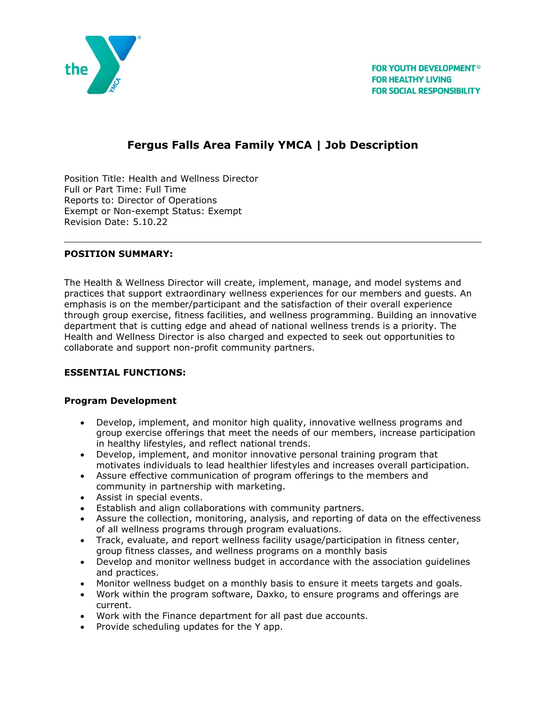

# **Fergus Falls Area Family YMCA | Job Description**

Position Title: Health and Wellness Director Full or Part Time: Full Time Reports to: Director of Operations Exempt or Non-exempt Status: Exempt Revision Date: 5.10.22

## **POSITION SUMMARY:**

The Health & Wellness Director will create, implement, manage, and model systems and practices that support extraordinary wellness experiences for our members and guests. An emphasis is on the member/participant and the satisfaction of their overall experience through group exercise, fitness facilities, and wellness programming. Building an innovative department that is cutting edge and ahead of national wellness trends is a priority. The Health and Wellness Director is also charged and expected to seek out opportunities to collaborate and support non-profit community partners.

# **ESSENTIAL FUNCTIONS:**

#### **Program Development**

- Develop, implement, and monitor high quality, innovative wellness programs and group exercise offerings that meet the needs of our members, increase participation in healthy lifestyles, and reflect national trends.
- Develop, implement, and monitor innovative personal training program that motivates individuals to lead healthier lifestyles and increases overall participation.
- Assure effective communication of program offerings to the members and community in partnership with marketing.
- Assist in special events.
- Establish and align collaborations with community partners.
- Assure the collection, monitoring, analysis, and reporting of data on the effectiveness of all wellness programs through program evaluations.
- Track, evaluate, and report wellness facility usage/participation in fitness center, group fitness classes, and wellness programs on a monthly basis
- Develop and monitor wellness budget in accordance with the association guidelines and practices.
- Monitor wellness budget on a monthly basis to ensure it meets targets and goals.
- Work within the program software, Daxko, to ensure programs and offerings are current.
- Work with the Finance department for all past due accounts.
- Provide scheduling updates for the Y app.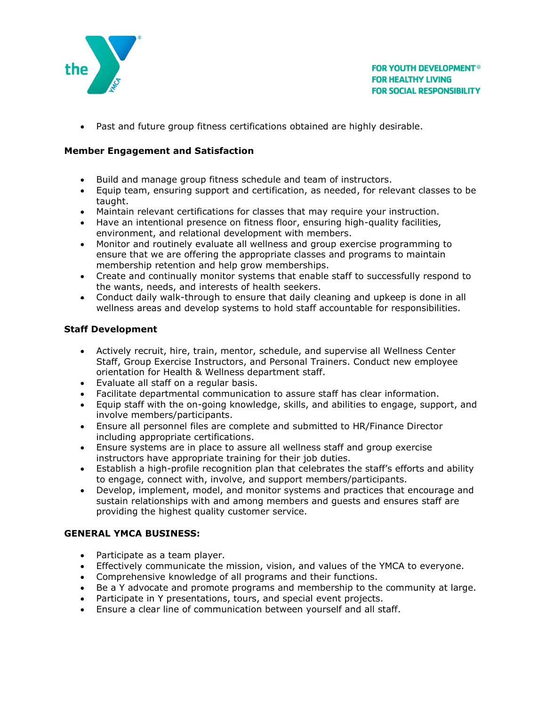

• Past and future group fitness certifications obtained are highly desirable.

## **Member Engagement and Satisfaction**

- Build and manage group fitness schedule and team of instructors.
- Equip team, ensuring support and certification, as needed, for relevant classes to be taught.
- Maintain relevant certifications for classes that may require your instruction.
- Have an intentional presence on fitness floor, ensuring high-quality facilities, environment, and relational development with members.
- Monitor and routinely evaluate all wellness and group exercise programming to ensure that we are offering the appropriate classes and programs to maintain membership retention and help grow memberships.
- Create and continually monitor systems that enable staff to successfully respond to the wants, needs, and interests of health seekers.
- Conduct daily walk-through to ensure that daily cleaning and upkeep is done in all wellness areas and develop systems to hold staff accountable for responsibilities.

## **Staff Development**

- Actively recruit, hire, train, mentor, schedule, and supervise all Wellness Center Staff, Group Exercise Instructors, and Personal Trainers. Conduct new employee orientation for Health & Wellness department staff.
- Evaluate all staff on a regular basis.
- Facilitate departmental communication to assure staff has clear information.
- Equip staff with the on-going knowledge, skills, and abilities to engage, support, and involve members/participants.
- Ensure all personnel files are complete and submitted to HR/Finance Director including appropriate certifications.
- Ensure systems are in place to assure all wellness staff and group exercise instructors have appropriate training for their job duties.
- Establish a high-profile recognition plan that celebrates the staff's efforts and ability to engage, connect with, involve, and support members/participants.
- Develop, implement, model, and monitor systems and practices that encourage and sustain relationships with and among members and guests and ensures staff are providing the highest quality customer service.

#### **GENERAL YMCA BUSINESS:**

- Participate as a team player.
- Effectively communicate the mission, vision, and values of the YMCA to everyone.
- Comprehensive knowledge of all programs and their functions.
- Be a Y advocate and promote programs and membership to the community at large.
- Participate in Y presentations, tours, and special event projects.
- Ensure a clear line of communication between yourself and all staff.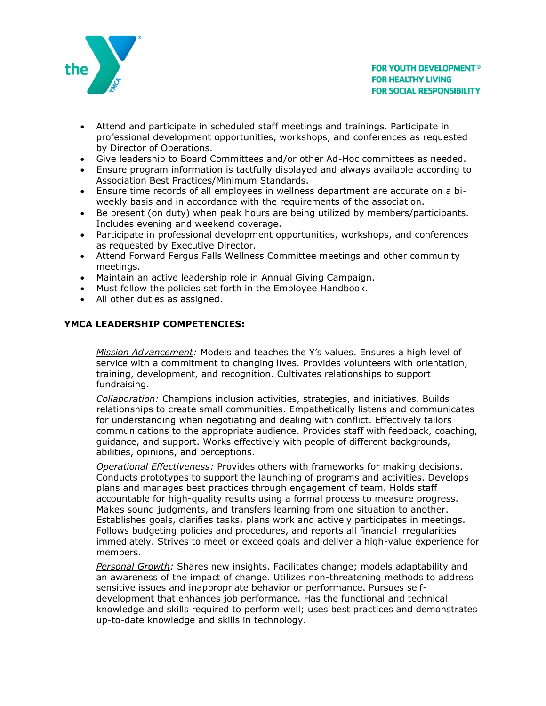

- Attend and participate in scheduled staff meetings and trainings. Participate in professional development opportunities, workshops, and conferences as requested by Director of Operations.
- Give leadership to Board Committees and/or other Ad-Hoc committees as needed.
- Ensure program information is tactfully displayed and always available according to Association Best Practices/Minimum Standards.
- Ensure time records of all employees in wellness department are accurate on a biweekly basis and in accordance with the requirements of the association.
- Be present (on duty) when peak hours are being utilized by members/participants. Includes evening and weekend coverage.
- Participate in professional development opportunities, workshops, and conferences as requested by Executive Director.
- Attend Forward Fergus Falls Wellness Committee meetings and other community meetings.
- Maintain an active leadership role in Annual Giving Campaign.
- Must follow the policies set forth in the Employee Handbook.
- All other duties as assigned.

## **YMCA LEADERSHIP COMPETENCIES:**

*Mission Advancement:* Models and teaches the Y's values. Ensures a high level of service with a commitment to changing lives. Provides volunteers with orientation, training, development, and recognition. Cultivates relationships to support fundraising.

*Collaboration:* Champions inclusion activities, strategies, and initiatives. Builds relationships to create small communities. Empathetically listens and communicates for understanding when negotiating and dealing with conflict. Effectively tailors communications to the appropriate audience. Provides staff with feedback, coaching, guidance, and support. Works effectively with people of different backgrounds, abilities, opinions, and perceptions.

*Operational Effectiveness:* Provides others with frameworks for making decisions. Conducts prototypes to support the launching of programs and activities. Develops plans and manages best practices through engagement of team. Holds staff accountable for high-quality results using a formal process to measure progress. Makes sound judgments, and transfers learning from one situation to another. Establishes goals, clarifies tasks, plans work and actively participates in meetings. Follows budgeting policies and procedures, and reports all financial irregularities immediately. Strives to meet or exceed goals and deliver a high-value experience for members.

*Personal Growth:* Shares new insights. Facilitates change; models adaptability and an awareness of the impact of change. Utilizes non-threatening methods to address sensitive issues and inappropriate behavior or performance. Pursues selfdevelopment that enhances job performance. Has the functional and technical knowledge and skills required to perform well; uses best practices and demonstrates up-to-date knowledge and skills in technology.